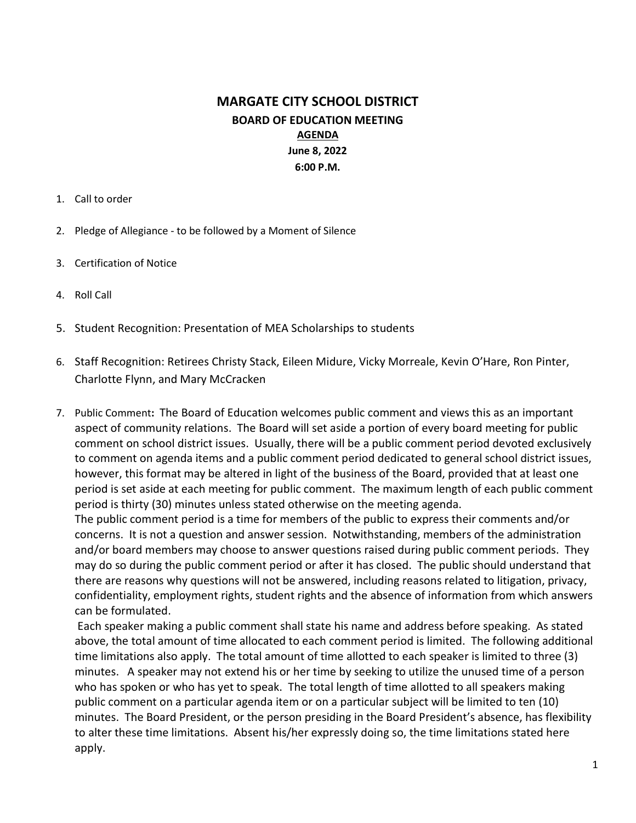# MARGATE CITY SCHOOL DISTRICT BOARD OF EDUCATION MEETING AGENDA June 8, 2022 6:00 P.M.

- 1. Call to order
- 2. Pledge of Allegiance to be followed by a Moment of Silence
- 3. Certification of Notice
- 4. Roll Call
- 5. Student Recognition: Presentation of MEA Scholarships to students
- 6. Staff Recognition: Retirees Christy Stack, Eileen Midure, Vicky Morreale, Kevin O'Hare, Ron Pinter, Charlotte Flynn, and Mary McCracken
- 7. Public Comment: The Board of Education welcomes public comment and views this as an important aspect of community relations. The Board will set aside a portion of every board meeting for public comment on school district issues. Usually, there will be a public comment period devoted exclusively to comment on agenda items and a public comment period dedicated to general school district issues, however, this format may be altered in light of the business of the Board, provided that at least one period is set aside at each meeting for public comment. The maximum length of each public comment period is thirty (30) minutes unless stated otherwise on the meeting agenda.

The public comment period is a time for members of the public to express their comments and/or concerns. It is not a question and answer session. Notwithstanding, members of the administration and/or board members may choose to answer questions raised during public comment periods. They may do so during the public comment period or after it has closed. The public should understand that there are reasons why questions will not be answered, including reasons related to litigation, privacy, confidentiality, employment rights, student rights and the absence of information from which answers can be formulated.

 Each speaker making a public comment shall state his name and address before speaking. As stated above, the total amount of time allocated to each comment period is limited. The following additional time limitations also apply. The total amount of time allotted to each speaker is limited to three (3) minutes. A speaker may not extend his or her time by seeking to utilize the unused time of a person who has spoken or who has yet to speak. The total length of time allotted to all speakers making public comment on a particular agenda item or on a particular subject will be limited to ten (10) minutes. The Board President, or the person presiding in the Board President's absence, has flexibility to alter these time limitations. Absent his/her expressly doing so, the time limitations stated here apply.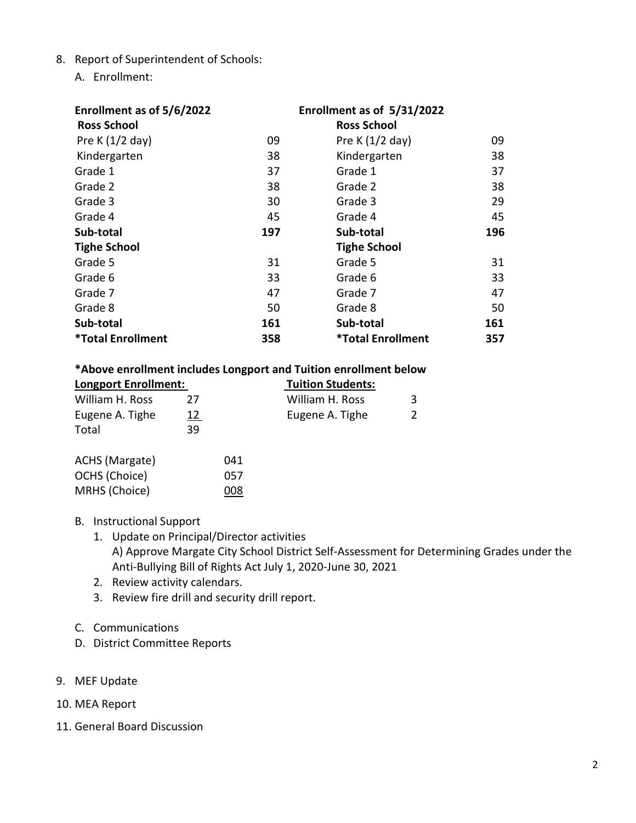- 8. Report of Superintendent of Schools:
	- A. Enrollment:

| Enrollment as of 5/6/2022       | Enrollment as of 5/31/2022 |                          |     |
|---------------------------------|----------------------------|--------------------------|-----|
| <b>Ross School</b>              |                            | <b>Ross School</b>       |     |
| Pre K $(1/2$ day)               | 09                         | Pre K $(1/2$ day)        | 09  |
| Kindergarten                    | 38                         | Kindergarten             | 38  |
| Grade 1                         | 37                         | Grade 1                  | 37  |
| Grade 2                         | 38                         | Grade 2                  | 38  |
| Grade 3                         | 30                         | Grade 3                  | 29  |
| Grade 4                         | 45                         | Grade 4                  | 45  |
| Sub-total                       | 197                        | Sub-total                | 196 |
| <b>Tighe School</b>             |                            | <b>Tighe School</b>      |     |
| Grade 5                         | 31                         | Grade 5                  | 31  |
| Grade 6                         | 33                         | Grade 6                  | 33  |
| Grade 7                         | 47                         | Grade 7                  | 47  |
| Grade 8                         | 50                         | Grade 8                  | 50  |
| Sub-total                       | 161                        | Sub-total                | 161 |
| <i><b>*Total Enrollment</b></i> | 358                        | <b>*Total Enrollment</b> | 357 |

#### \*Above enrollment includes Longport and Tuition enrollment below

|                             |            | . . |                          |  |
|-----------------------------|------------|-----|--------------------------|--|
| <b>Longport Enrollment:</b> |            |     | <b>Tuition Students:</b> |  |
| William H. Ross             | 77         |     | William H. Ross          |  |
| Eugene A. Tighe             | <u> 12</u> |     | Eugene A. Tighe          |  |
| Total                       | 39         |     |                          |  |
| ACHS (Margate)              |            | 041 |                          |  |
| OCHS (Choice)               |            | 057 |                          |  |

- B. Instructional Support
	- 1. Update on Principal/Director activities A) Approve Margate City School District Self-Assessment for Determining Grades under the Anti-Bullying Bill of Rights Act July 1, 2020-June 30, 2021
	- 2. Review activity calendars.

MRHS (Choice) 008

- 3. Review fire drill and security drill report.
- C. Communications
- D. District Committee Reports
- 9. MEF Update
- 10. MEA Report
- 11. General Board Discussion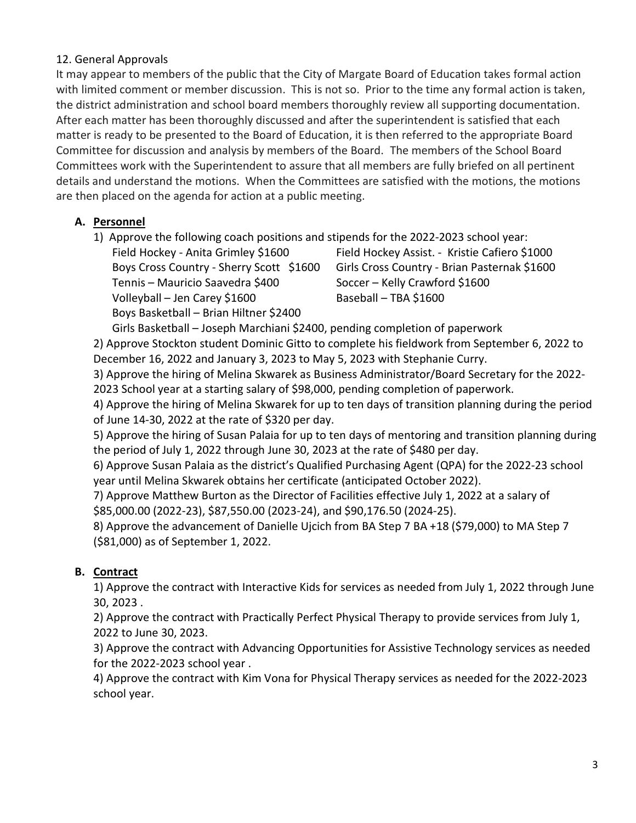#### 12. General Approvals

It may appear to members of the public that the City of Margate Board of Education takes formal action with limited comment or member discussion. This is not so. Prior to the time any formal action is taken, the district administration and school board members thoroughly review all supporting documentation. After each matter has been thoroughly discussed and after the superintendent is satisfied that each matter is ready to be presented to the Board of Education, it is then referred to the appropriate Board Committee for discussion and analysis by members of the Board. The members of the School Board Committees work with the Superintendent to assure that all members are fully briefed on all pertinent details and understand the motions. When the Committees are satisfied with the motions, the motions are then placed on the agenda for action at a public meeting.

## A. Personnel

1) Approve the following coach positions and stipends for the 2022-2023 school year:

Tennis – Mauricio Saavedra \$400 Soccer – Kelly Crawford \$1600 Volleyball – Jen Carey \$1600 Baseball – TBA \$1600 Boys Basketball – Brian Hiltner \$2400

Field Hockey - Anita Grimley \$1600 Field Hockey Assist. - Kristie Cafiero \$1000 Boys Cross Country - Sherry Scott \$1600 Girls Cross Country - Brian Pasternak \$1600

Girls Basketball – Joseph Marchiani \$2400, pending completion of paperwork 2) Approve Stockton student Dominic Gitto to complete his fieldwork from September 6, 2022 to December 16, 2022 and January 3, 2023 to May 5, 2023 with Stephanie Curry.

3) Approve the hiring of Melina Skwarek as Business Administrator/Board Secretary for the 2022- 2023 School year at a starting salary of \$98,000, pending completion of paperwork.

4) Approve the hiring of Melina Skwarek for up to ten days of transition planning during the period of June 14-30, 2022 at the rate of \$320 per day.

5) Approve the hiring of Susan Palaia for up to ten days of mentoring and transition planning during the period of July 1, 2022 through June 30, 2023 at the rate of \$480 per day.

6) Approve Susan Palaia as the district's Qualified Purchasing Agent (QPA) for the 2022-23 school year until Melina Skwarek obtains her certificate (anticipated October 2022).

7) Approve Matthew Burton as the Director of Facilities effective July 1, 2022 at a salary of \$85,000.00 (2022-23), \$87,550.00 (2023-24), and \$90,176.50 (2024-25).

8) Approve the advancement of Danielle Ujcich from BA Step 7 BA +18 (\$79,000) to MA Step 7 (\$81,000) as of September 1, 2022.

## B. Contract

1) Approve the contract with Interactive Kids for services as needed from July 1, 2022 through June 30, 2023 .

2) Approve the contract with Practically Perfect Physical Therapy to provide services from July 1, 2022 to June 30, 2023.

3) Approve the contract with Advancing Opportunities for Assistive Technology services as needed for the 2022-2023 school year .

4) Approve the contract with Kim Vona for Physical Therapy services as needed for the 2022-2023 school year.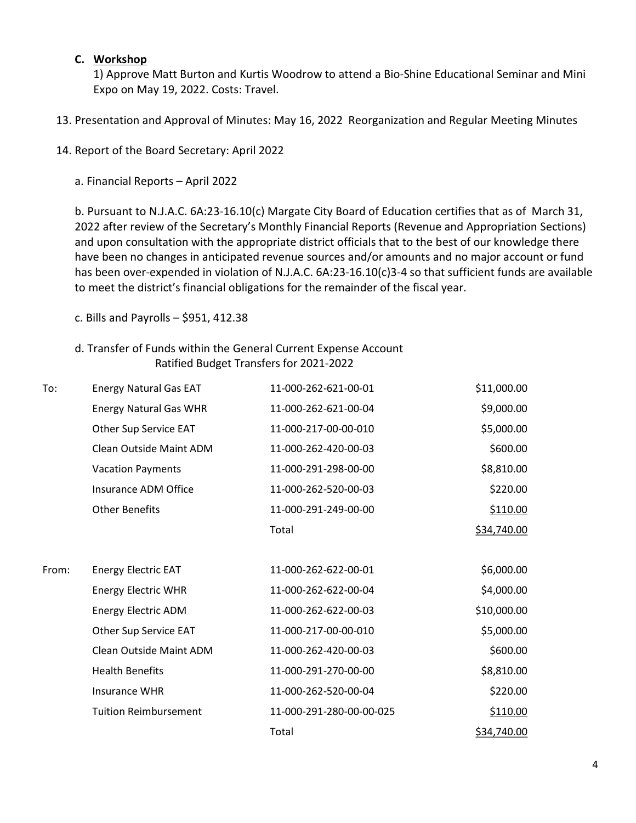#### C. Workshop

1) Approve Matt Burton and Kurtis Woodrow to attend a Bio-Shine Educational Seminar and Mini Expo on May 19, 2022. Costs: Travel.

- 13. Presentation and Approval of Minutes: May 16, 2022 Reorganization and Regular Meeting Minutes
- 14. Report of the Board Secretary: April 2022
	- a. Financial Reports April 2022

b. Pursuant to N.J.A.C. 6A:23-16.10(c) Margate City Board of Education certifies that as of March 31, 2022 after review of the Secretary's Monthly Financial Reports (Revenue and Appropriation Sections) and upon consultation with the appropriate district officials that to the best of our knowledge there have been no changes in anticipated revenue sources and/or amounts and no major account or fund has been over-expended in violation of N.J.A.C. 6A:23-16.10(c)3-4 so that sufficient funds are available to meet the district's financial obligations for the remainder of the fiscal year.

c. Bills and Payrolls  $-$  \$951, 412.38

### d. Transfer of Funds within the General Current Expense Account Ratified Budget Transfers for 2021-2022

| To:   | <b>Energy Natural Gas EAT</b> | 11-000-262-621-00-01     | \$11,000.00 |
|-------|-------------------------------|--------------------------|-------------|
|       | <b>Energy Natural Gas WHR</b> | 11-000-262-621-00-04     | \$9,000.00  |
|       | Other Sup Service EAT         | 11-000-217-00-00-010     | \$5,000.00  |
|       | Clean Outside Maint ADM       | 11-000-262-420-00-03     | \$600.00    |
|       | <b>Vacation Payments</b>      | 11-000-291-298-00-00     | \$8,810.00  |
|       | Insurance ADM Office          | 11-000-262-520-00-03     | \$220.00    |
|       | <b>Other Benefits</b>         | 11-000-291-249-00-00     | \$110.00    |
|       |                               | Total                    | \$34,740.00 |
|       |                               |                          |             |
| From: | <b>Energy Electric EAT</b>    | 11-000-262-622-00-01     | \$6,000.00  |
|       | <b>Energy Electric WHR</b>    | 11-000-262-622-00-04     | \$4,000.00  |
|       | <b>Energy Electric ADM</b>    | 11-000-262-622-00-03     | \$10,000.00 |
|       | Other Sup Service EAT         | 11-000-217-00-00-010     | \$5,000.00  |
|       | Clean Outside Maint ADM       | 11-000-262-420-00-03     | \$600.00    |
|       | <b>Health Benefits</b>        | 11-000-291-270-00-00     | \$8,810.00  |
|       | Insurance WHR                 | 11-000-262-520-00-04     | \$220.00    |
|       | <b>Tuition Reimbursement</b>  | 11-000-291-280-00-00-025 | \$110.00    |
|       |                               | Total                    | \$34,740.00 |